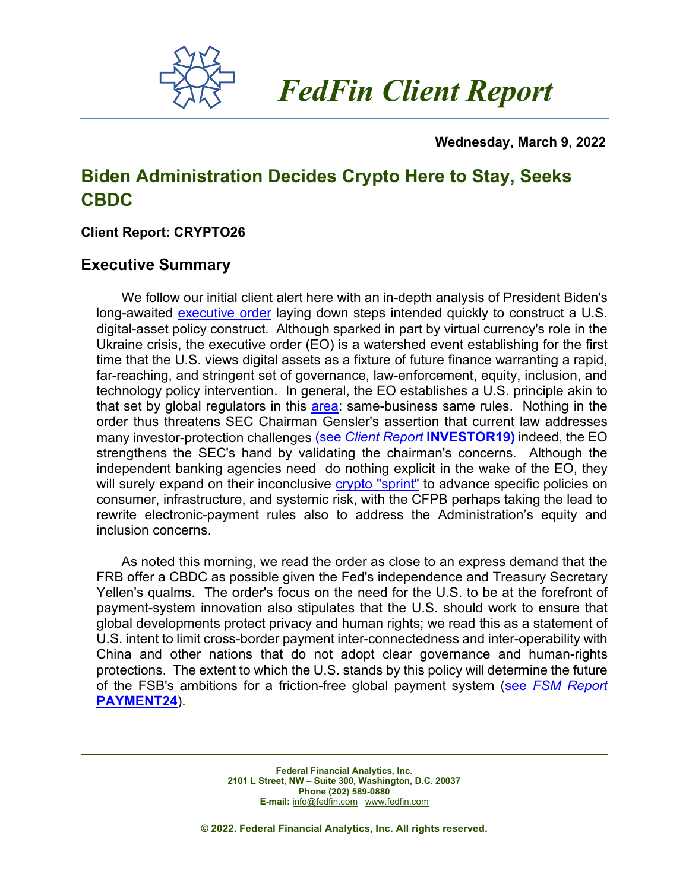

 *FedFin Client Report*

#### **Wednesday, March 9, 2022**

# **Biden Administration Decides Crypto Here to Stay, Seeks CBDC**

## **Client Report: CRYPTO26**

## **Executive Summary**

We follow our initial client alert here with an in-depth analysis of President Biden's long-awaited [executive order](https://www.whitehouse.gov/briefing-room/presidential-actions/2022/03/09/executive-order-on-ensuring-responsible-development-of-digital-assets/) laying down steps intended quickly to construct a U.S. digital-asset policy construct. Although sparked in part by virtual currency's role in the Ukraine crisis, the executive order (EO) is a watershed event establishing for the first time that the U.S. views digital assets as a fixture of future finance warranting a rapid, far-reaching, and stringent set of governance, law-enforcement, equity, inclusion, and technology policy intervention. In general, the EO establishes a U.S. principle akin to that set by global regulators in this [area:](https://fedfin.com/wp-content/uploads/2022/02/Daily020222.pdf) same-business same rules. Nothing in the order thus threatens SEC Chairman Gensler's assertion that current law addresses many investor-protection challenges (see *Client Report* **[INVESTOR19\)](https://fedfin.com/wp-content/uploads/2021/10/INVESTOR19.pdf)** indeed, the EO strengthens the SEC's hand by validating the chairman's concerns. Although the independent banking agencies need do nothing explicit in the wake of the EO, they will surely expand on their inconclusive [crypto "sprint"](https://fedfin.com/wp-content/uploads/2022/02/Daily020722.pdf) to advance specific policies on consumer, infrastructure, and systemic risk, with the CFPB perhaps taking the lead to rewrite electronic-payment rules also to address the Administration's equity and inclusion concerns.

As noted this morning, we read the order as close to an express demand that the FRB offer a CBDC as possible given the Fed's independence and Treasury Secretary Yellen's qualms. The order's focus on the need for the U.S. to be at the forefront of payment-system innovation also stipulates that the U.S. should work to ensure that global developments protect privacy and human rights; we read this as a statement of U.S. intent to limit cross-border payment inter-connectedness and inter-operability with China and other nations that do not adopt clear governance and human-rights protections. The extent to which the U.S. stands by this policy will determine the future of the FSB's ambitions for a friction-free global payment system (see *[FSM Report](https://fedfin.com/wp-content/uploads/2022/03/PAYMENT24.pdf)*  **[PAYMENT24](https://fedfin.com/wp-content/uploads/2022/03/PAYMENT24.pdf)**).

> **Federal Financial Analytics, Inc. 2101 L Street, NW – Suite 300, Washington, D.C. 20037 Phone (202) 589-0880 E-mail:** [info@fedfin.com](mailto:info@fedfin.com)[www.fedfin.com](http://www.fedfin.com/)

**© 2022. Federal Financial Analytics, Inc. All rights reserved.**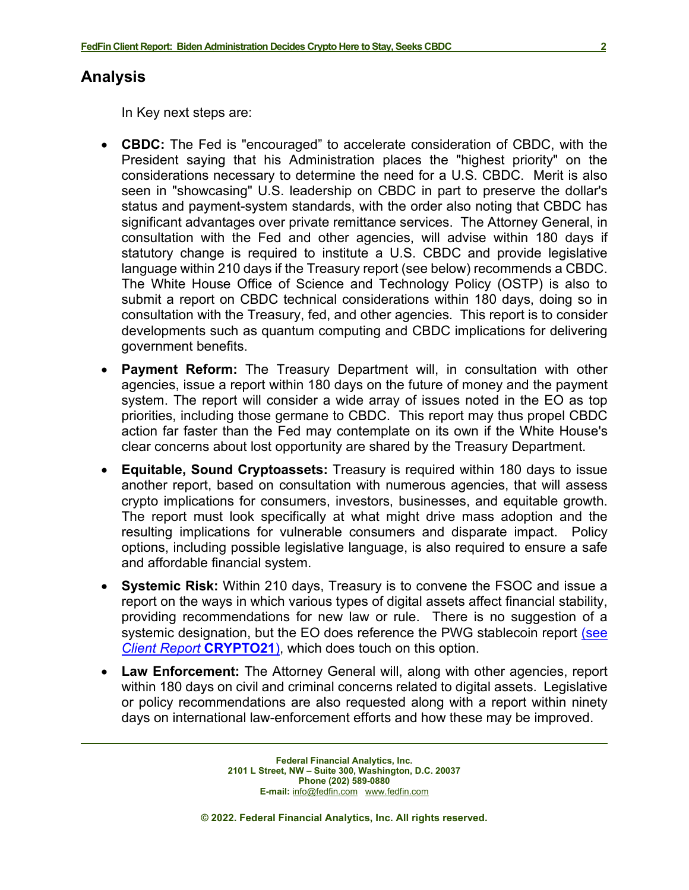### **Analysis**

In Key next steps are:

- **CBDC:** The Fed is "encouraged" to accelerate consideration of CBDC, with the President saying that his Administration places the "highest priority" on the considerations necessary to determine the need for a U.S. CBDC. Merit is also seen in "showcasing" U.S. leadership on CBDC in part to preserve the dollar's status and payment-system standards, with the order also noting that CBDC has significant advantages over private remittance services. The Attorney General, in consultation with the Fed and other agencies, will advise within 180 days if statutory change is required to institute a U.S. CBDC and provide legislative language within 210 days if the Treasury report (see below) recommends a CBDC. The White House Office of Science and Technology Policy (OSTP) is also to submit a report on CBDC technical considerations within 180 days, doing so in consultation with the Treasury, fed, and other agencies. This report is to consider developments such as quantum computing and CBDC implications for delivering government benefits.
- **Payment Reform:** The Treasury Department will, in consultation with other agencies, issue a report within 180 days on the future of money and the payment system. The report will consider a wide array of issues noted in the EO as top priorities, including those germane to CBDC. This report may thus propel CBDC action far faster than the Fed may contemplate on its own if the White House's clear concerns about lost opportunity are shared by the Treasury Department.
- **Equitable, Sound Cryptoassets:** Treasury is required within 180 days to issue another report, based on consultation with numerous agencies, that will assess crypto implications for consumers, investors, businesses, and equitable growth. The report must look specifically at what might drive mass adoption and the resulting implications for vulnerable consumers and disparate impact. Policy options, including possible legislative language, is also required to ensure a safe and affordable financial system.
- **Systemic Risk:** Within 210 days, Treasury is to convene the FSOC and issue a report on the ways in which various types of digital assets affect financial stability, providing recommendations for new law or rule. There is no suggestion of a systemic designation, but the EO does reference the PWG stablecoin report (see *[Client Report](https://fedfin.com/wp-content/uploads/2021/11/CRYPTO21.pdf)* **CRYPTO21**), which does touch on this option.
- **Law Enforcement:** The Attorney General will, along with other agencies, report within 180 days on civil and criminal concerns related to digital assets. Legislative or policy recommendations are also requested along with a report within ninety days on international law-enforcement efforts and how these may be improved.

**Federal Financial Analytics, Inc. 2101 L Street, NW – Suite 300, Washington, D.C. 20037 Phone (202) 589-0880 E-mail:** [info@fedfin.com](mailto:info@fedfin.com)[www.fedfin.com](http://www.fedfin.com/)